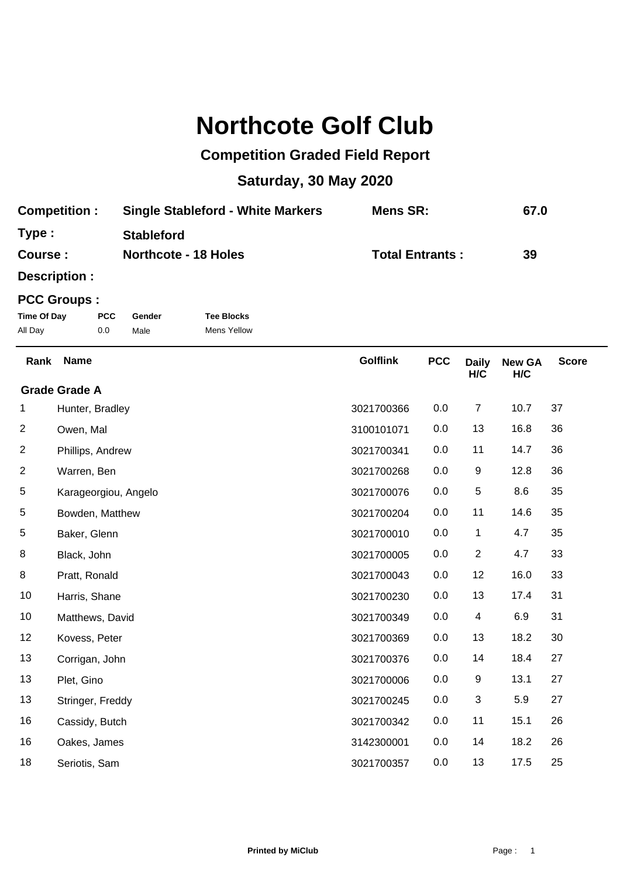## **Northcote Golf Club**

## **Competition Graded Field Report**

## **Saturday, 30 May 2020**

| <b>Competition:</b> | <b>Single Stableford - White Markers</b> | Mens SR:               | 67.0 |
|---------------------|------------------------------------------|------------------------|------|
| Type:               | <b>Stableford</b>                        |                        |      |
| <b>Course:</b>      | <b>Northcote - 18 Holes</b>              | <b>Total Entrants:</b> | 39   |

**Description :**

## **PCC Groups :**

| Time Of Day | <b>PCC</b> | Gender | <b>Tee Blocks</b> |
|-------------|------------|--------|-------------------|
| All Day     | 0.0        | Male   | Mens Yellow       |

| Rank | <b>Name</b>          | <b>Golflink</b> | <b>PCC</b> | <b>Daily</b><br>H/C | <b>New GA</b><br>H/C | <b>Score</b> |
|------|----------------------|-----------------|------------|---------------------|----------------------|--------------|
|      | <b>Grade Grade A</b> |                 |            |                     |                      |              |
| 1    | Hunter, Bradley      | 3021700366      | 0.0        | $\boldsymbol{7}$    | 10.7                 | 37           |
| 2    | Owen, Mal            | 3100101071      | 0.0        | 13                  | 16.8                 | 36           |
| 2    | Phillips, Andrew     | 3021700341      | 0.0        | 11                  | 14.7                 | 36           |
| 2    | Warren, Ben          | 3021700268      | 0.0        | 9                   | 12.8                 | 36           |
| 5    | Karageorgiou, Angelo | 3021700076      | 0.0        | $\,$ 5 $\,$         | 8.6                  | 35           |
| 5    | Bowden, Matthew      | 3021700204      | 0.0        | 11                  | 14.6                 | 35           |
| 5    | Baker, Glenn         | 3021700010      | 0.0        | 1                   | 4.7                  | 35           |
| 8    | Black, John          | 3021700005      | 0.0        | $\overline{2}$      | 4.7                  | 33           |
| 8    | Pratt, Ronald        | 3021700043      | 0.0        | 12                  | 16.0                 | 33           |
| 10   | Harris, Shane        | 3021700230      | 0.0        | 13                  | 17.4                 | 31           |
| 10   | Matthews, David      | 3021700349      | 0.0        | 4                   | 6.9                  | 31           |
| 12   | Kovess, Peter        | 3021700369      | 0.0        | 13                  | 18.2                 | 30           |
| 13   | Corrigan, John       | 3021700376      | 0.0        | 14                  | 18.4                 | 27           |
| 13   | Plet, Gino           | 3021700006      | 0.0        | 9                   | 13.1                 | 27           |
| 13   | Stringer, Freddy     | 3021700245      | 0.0        | 3                   | 5.9                  | 27           |
| 16   | Cassidy, Butch       | 3021700342      | 0.0        | 11                  | 15.1                 | 26           |
| 16   | Oakes, James         | 3142300001      | 0.0        | 14                  | 18.2                 | 26           |
| 18   | Seriotis, Sam        | 3021700357      | 0.0        | 13                  | 17.5                 | 25           |